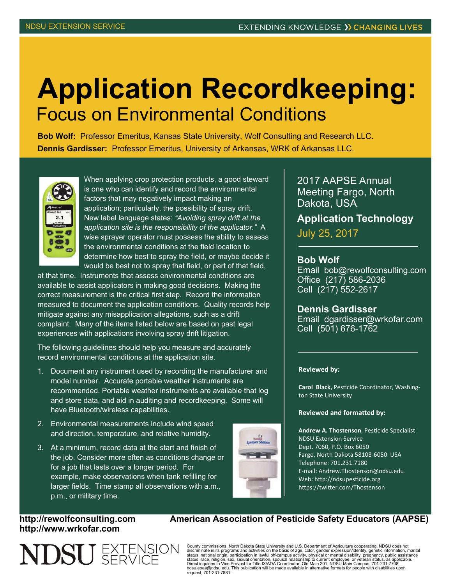## **Application Recordkeeping:**  Focus on Environmental Conditions

**Bob Wolf:** Professor Emeritus, Kansas State University, Wolf Consulting and Research LLC. **Dennis Gardisser:** Professor Emeritus, University of Arkansas, WRK of Arkansas LLC.



When applying crop protection products, a good steward is one who can identify and record the environmental factors that may negatively impact making an application; particularly, the possibility of spray drift. New label language states: *"Avoiding spray drift at the application site is the responsibility of the applicator."* A wise sprayer operator must possess the ability to assess the environmental conditions at the field location to determine how best to spray the field, or maybe decide it would be best not to spray that field, or part of that field,

at that time. Instruments that assess environmental conditions are available to assist applicators in making good decisions. Making the correct measurement is the critical first step. Record the information measured to document the application conditions. Quality records help mitigate against any misapplication allegations, such as a drift complaint. Many of the items listed below are based on past legal experiences with applications involving spray drift litigation.

The following guidelines should help you measure and accurately record environmental conditions at the application site.

- 1. Document any instrument used by recording the manufacturer and model number. Accurate portable weather instruments are recommended. Portable weather instruments are available that log and store data, and aid in auditing and recordkeeping. Some will have Bluetooth/wireless capabilities.
- 2. Environmental measurements include wind speed and direction, temperature, and relative humidity.
- 3. At a minimum, record data at the start and finish of the job. Consider more often as conditions change or for a job that lasts over a longer period. For example, make observations when tank refilling for larger fields. Time stamp all observations with a.m., p.m., or military time.



2017 AAPSE Annual Meeting Fargo, North Dakota, USA

**Application Technology** 

July 25, 2017

## **Bob Wolf**

Email bob@rewolfconsulting.com Office (217) 586-2036 Cell (217) 552-2617

**Dennis Gardisser**  Email dgardisser@wrkofar.com Cell (501) 676-1762

## **Reviewed by:**

**Carol Black, Pesticide Coordinator, Washing**ton State University

## **Reviewed and formaƩed by:**

Andrew A. Thostenson, Pesticide Specialist NDSU Extension Service Dept. 7060, P.O. Box 6050 Fargo, North Dakota 58108-6050 USA Telephone: 701.231.7180 E-mail: Andrew.Thostenson@ndsu.edu Web: http://ndsupesticide.org https://twitter.com/Thostenson

**http://www.wrkofar.com** 



http://rewolfconsulting.com American Association of Pesticide Safety Educators (AAPSE)

County commissions, North Dakota State University and U.S. Department of Agriculture cooperating. NDSU does not discriminate in its programs and activities on the basis of age, color, gender expression/identity, genetic information, marital<br>status, national origin, participation in lawful off-campus activity, physical or mental disa